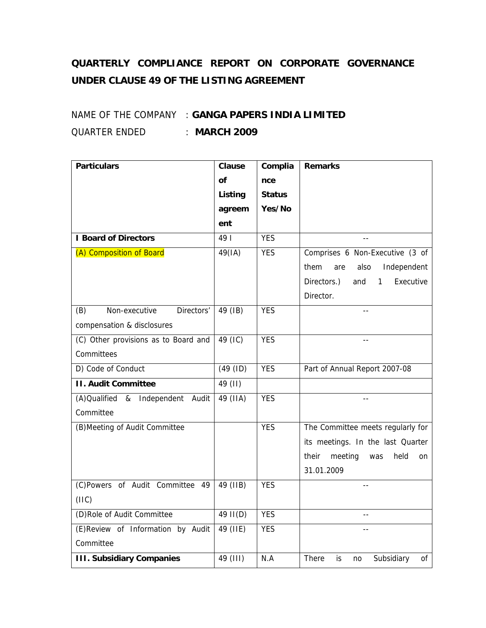## **QUARTERLY COMPLIANCE REPORT ON CORPORATE GOVERNANCE UNDER CLAUSE 49 OF THE LISTING AGREEMENT**

## NAME OF THE COMPANY : **GANGA PAPERS INDIA LIMITED** QUARTER ENDED : **MARCH 2009**

| <b>Particulars</b>                   | <b>Clause</b> | Complia       | <b>Remarks</b>                               |
|--------------------------------------|---------------|---------------|----------------------------------------------|
|                                      | <b>of</b>     | nce           |                                              |
|                                      | Listing       | <b>Status</b> |                                              |
|                                      | agreem        | Yes/No        |                                              |
|                                      | ent           |               |                                              |
| <b>I Board of Directors</b>          | 49            | <b>YES</b>    | $-$                                          |
| (A) Composition of Board             | 49(IA)        | <b>YES</b>    | Comprises 6 Non-Executive (3 of              |
|                                      |               |               | Independent<br>them<br>are<br>also           |
|                                      |               |               | Directors.)<br>Executive<br>and<br>1         |
|                                      |               |               | Director.                                    |
| Non-executive<br>Directors'<br>(B)   | 49 (IB)       | <b>YES</b>    |                                              |
| compensation & disclosures           |               |               |                                              |
| (C) Other provisions as to Board and | 49 (IC)       | <b>YES</b>    | $-$                                          |
| Committees                           |               |               |                                              |
| D) Code of Conduct                   | (49 (ID)      | <b>YES</b>    | Part of Annual Report 2007-08                |
| <b>II. Audit Committee</b>           | 49 (II)       |               |                                              |
| (A) Qualified & Independent Audit    | 49 (IIA)      | <b>YES</b>    |                                              |
| Committee                            |               |               |                                              |
| (B) Meeting of Audit Committee       |               | <b>YES</b>    | The Committee meets regularly for            |
|                                      |               |               | its meetings. In the last Quarter            |
|                                      |               |               | meeting<br>their<br>held<br>was<br><b>on</b> |
|                                      |               |               | 31.01.2009                                   |
| (C)Powers of Audit Committee 49      | 49 (IIB)      | <b>YES</b>    | $\sim$                                       |
| (IIIC)                               |               |               |                                              |
| (D)Role of Audit Committee           | 49 II(D)      | <b>YES</b>    | $- -$                                        |
| (E)Review of Information by Audit    | 49 (IIE)      | <b>YES</b>    | $- -$                                        |
| Committee                            |               |               |                                              |
| <b>III. Subsidiary Companies</b>     | 49 (III)      | N.A           | Subsidiary<br>There<br>0f<br>is<br>no        |